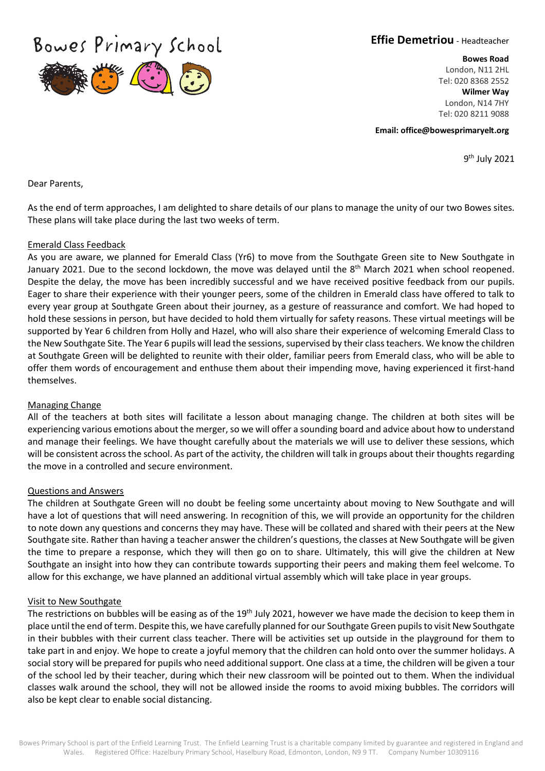Bowes Primary School



**Effie Demetriou** - Headteacher

**Bowes Road**

London, N11 2HL Tel: 020 8368 2552 **Wilmer Way** London, N14 7HY Tel: 020 8211 9088

**Email: office@bowesprimaryelt.org** 

9th July 2021

Dear Parents,

As the end of term approaches, I am delighted to share details of our plans to manage the unity of our two Bowes sites. These plans will take place during the last two weeks of term.

#### Emerald Class Feedback

As you are aware, we planned for Emerald Class (Yr6) to move from the Southgate Green site to New Southgate in January 2021. Due to the second lockdown, the move was delayed until the 8<sup>th</sup> March 2021 when school reopened. Despite the delay, the move has been incredibly successful and we have received positive feedback from our pupils. Eager to share their experience with their younger peers, some of the children in Emerald class have offered to talk to every year group at Southgate Green about their journey, as a gesture of reassurance and comfort. We had hoped to hold these sessions in person, but have decided to hold them virtually for safety reasons. These virtual meetings will be supported by Year 6 children from Holly and Hazel, who will also share their experience of welcoming Emerald Class to the New Southgate Site. The Year 6 pupils will lead the sessions, supervised by their class teachers. We know the children at Southgate Green will be delighted to reunite with their older, familiar peers from Emerald class, who will be able to offer them words of encouragement and enthuse them about their impending move, having experienced it first-hand themselves.

#### Managing Change

All of the teachers at both sites will facilitate a lesson about managing change. The children at both sites will be experiencing various emotions about the merger, so we will offer a sounding board and advice about how to understand and manage their feelings. We have thought carefully about the materials we will use to deliver these sessions, which will be consistent across the school. As part of the activity, the children will talk in groups about their thoughts regarding the move in a controlled and secure environment.

#### Questions and Answers

The children at Southgate Green will no doubt be feeling some uncertainty about moving to New Southgate and will have a lot of questions that will need answering. In recognition of this, we will provide an opportunity for the children to note down any questions and concerns they may have. These will be collated and shared with their peers at the New Southgate site. Rather than having a teacher answer the children's questions, the classes at New Southgate will be given the time to prepare a response, which they will then go on to share. Ultimately, this will give the children at New Southgate an insight into how they can contribute towards supporting their peers and making them feel welcome. To allow for this exchange, we have planned an additional virtual assembly which will take place in year groups.

## Visit to New Southgate

The restrictions on bubbles will be easing as of the 19<sup>th</sup> July 2021, however we have made the decision to keep them in place until the end of term. Despite this, we have carefully planned for our Southgate Green pupils to visit New Southgate in their bubbles with their current class teacher. There will be activities set up outside in the playground for them to take part in and enjoy. We hope to create a joyful memory that the children can hold onto over the summer holidays. A social story will be prepared for pupils who need additional support. One class at a time, the children will be given a tour of the school led by their teacher, during which their new classroom will be pointed out to them. When the individual classes walk around the school, they will not be allowed inside the rooms to avoid mixing bubbles. The corridors will also be kept clear to enable social distancing.